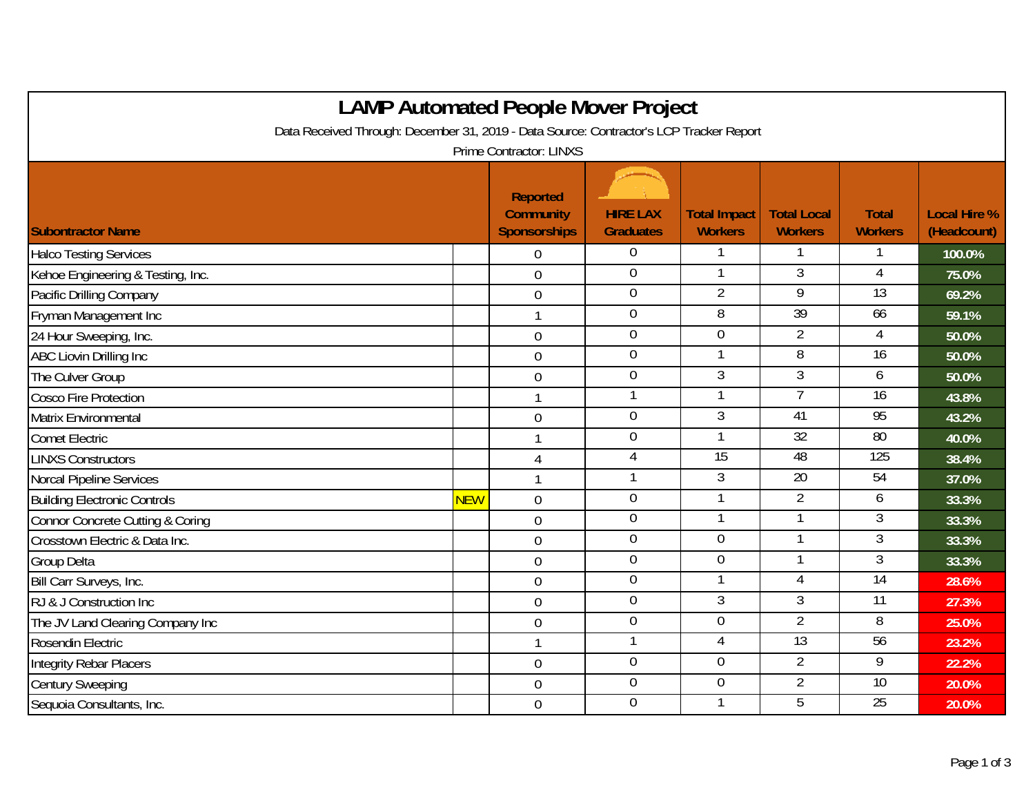| <b>LAMP Automated People Mover Project</b>                                              |            |                                                            |                                     |                                       |                                      |                                |                                    |  |  |
|-----------------------------------------------------------------------------------------|------------|------------------------------------------------------------|-------------------------------------|---------------------------------------|--------------------------------------|--------------------------------|------------------------------------|--|--|
| Data Received Through: December 31, 2019 - Data Source: Contractor's LCP Tracker Report |            |                                                            |                                     |                                       |                                      |                                |                                    |  |  |
| <b>Prime Contractor: LINXS</b>                                                          |            |                                                            |                                     |                                       |                                      |                                |                                    |  |  |
| <b>Subontractor Name</b>                                                                |            | <b>Reported</b><br><b>Community</b><br><b>Sponsorships</b> | <b>HIRE LAX</b><br><b>Graduates</b> | <b>Total Impact</b><br><b>Workers</b> | <b>Total Local</b><br><b>Workers</b> | <b>Total</b><br><b>Workers</b> | <b>Local Hire %</b><br>(Headcount) |  |  |
| <b>Halco Testing Services</b>                                                           |            | 0                                                          | $\mathbf 0$                         |                                       |                                      |                                | 100.0%                             |  |  |
| Kehoe Engineering & Testing, Inc.                                                       |            | $\overline{0}$                                             | $\mathbf 0$                         | $\mathbf{1}$                          | $\overline{3}$                       | 4                              | 75.0%                              |  |  |
| Pacific Drilling Company                                                                |            | $\mathbf 0$                                                | $\mathbf 0$                         | $\overline{2}$                        | $\overline{9}$                       | 13                             | 69.2%                              |  |  |
| Fryman Management Inc                                                                   |            | $\mathbf{1}$                                               | $\overline{0}$                      | $\overline{8}$                        | 39                                   | 66                             | 59.1%                              |  |  |
| 24 Hour Sweeping, Inc.                                                                  |            | $\overline{0}$                                             | $\mathbf 0$                         | $\overline{0}$                        | $\overline{2}$                       | 4                              | 50.0%                              |  |  |
| ABC Liovin Drilling Inc                                                                 |            | $\overline{0}$                                             | $\boldsymbol{0}$                    | $\mathbf{1}$                          | 8                                    | $\overline{16}$                | 50.0%                              |  |  |
| The Culver Group                                                                        |            | $\mathbf 0$                                                | $\overline{0}$                      | $\overline{3}$                        | $\overline{3}$                       | 6                              | 50.0%                              |  |  |
| Cosco Fire Protection                                                                   |            | $\mathbf{1}$                                               | 1                                   | 1                                     | $\overline{7}$                       | 16                             | 43.8%                              |  |  |
| <b>Matrix Environmental</b>                                                             |            | $\mathbf 0$                                                | $\overline{0}$                      | $\overline{3}$                        | 41                                   | 95                             | 43.2%                              |  |  |
| <b>Comet Electric</b>                                                                   |            | $\mathbf{1}$                                               | $\boldsymbol{0}$                    | 1                                     | $\overline{32}$                      | $\overline{80}$                | 40.0%                              |  |  |
| <b>LINXS Constructors</b>                                                               |            | $\overline{4}$                                             | $\overline{4}$                      | 15                                    | 48                                   | 125                            | 38.4%                              |  |  |
| Norcal Pipeline Services                                                                |            | $\mathbf{1}$                                               | 1                                   | $\mathfrak{Z}$                        | 20                                   | 54                             | 37.0%                              |  |  |
| <b>Building Electronic Controls</b>                                                     | <b>NEW</b> | $\overline{0}$                                             | $\overline{0}$                      |                                       | $\overline{2}$                       | 6                              | 33.3%                              |  |  |
| <b>Connor Concrete Cutting &amp; Coring</b>                                             |            | $\overline{0}$                                             | $\boldsymbol{0}$                    |                                       |                                      | 3                              | 33.3%                              |  |  |
| Crosstown Electric & Data Inc.                                                          |            | $\mathbf 0$                                                | $\mathbf 0$                         | $\overline{0}$                        |                                      | 3                              | 33.3%                              |  |  |
| <b>Group Delta</b>                                                                      |            | $\overline{0}$                                             | $\mathbf 0$                         | $\mathbf 0$                           |                                      | $\overline{3}$                 | 33.3%                              |  |  |
| Bill Carr Surveys, Inc.                                                                 |            | $\overline{0}$                                             | $\overline{0}$                      | $\mathbf{1}$                          | 4                                    | $\overline{14}$                | 28.6%                              |  |  |
| RJ & J Construction Inc                                                                 |            | $\mathbf 0$                                                | $\mathbf 0$                         | $\overline{3}$                        | $\overline{3}$                       | 11                             | 27.3%                              |  |  |
| The JV Land Clearing Company Inc                                                        |            | $\mathbf 0$                                                | $\boldsymbol{0}$                    | $\mathbf 0$                           | $\overline{2}$                       | 8                              | 25.0%                              |  |  |
| Rosendin Electric                                                                       |            | $\mathbf{1}$                                               | 1                                   | $\overline{4}$                        | 13                                   | 56                             | 23.2%                              |  |  |
| <b>Integrity Rebar Placers</b>                                                          |            | $\mathbf 0$                                                | $\mathbf 0$                         | $\mathbf 0$                           | $\overline{2}$                       | 9                              | 22.2%                              |  |  |
| <b>Century Sweeping</b>                                                                 |            | $\overline{0}$                                             | $\overline{0}$                      | $\overline{0}$                        | $\overline{2}$                       | 10                             | 20.0%                              |  |  |
| Sequoia Consultants, Inc.                                                               |            | $\overline{0}$                                             | $\mathbf 0$                         |                                       | 5                                    | $\overline{25}$                | 20.0%                              |  |  |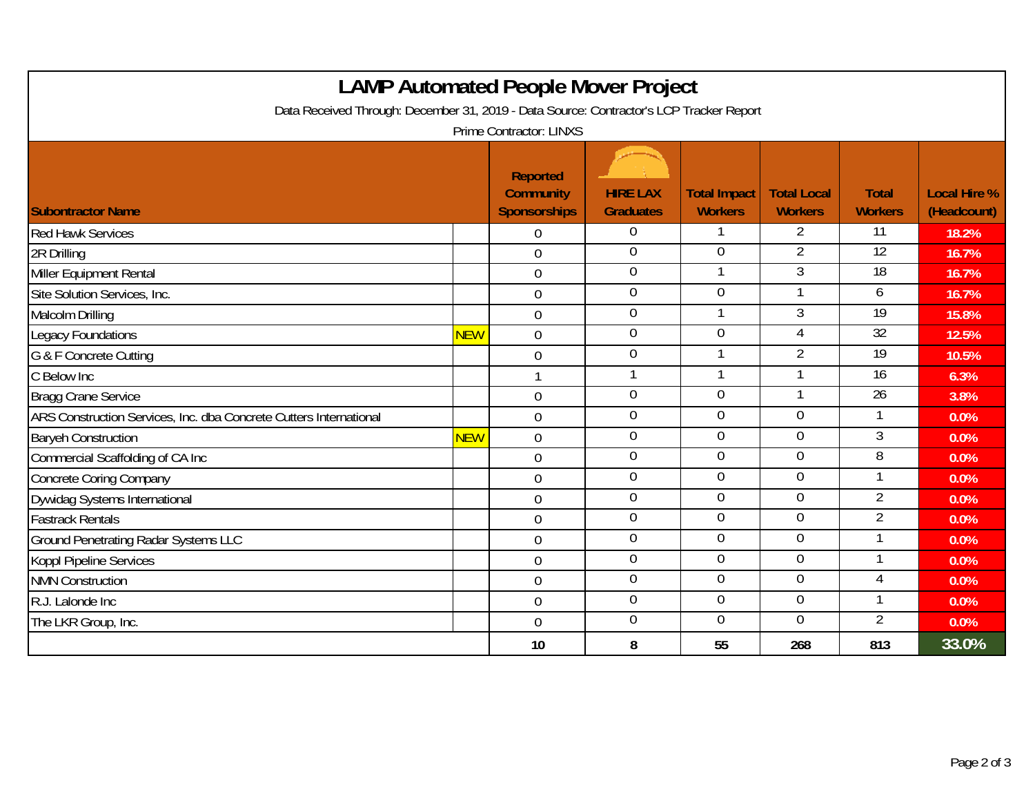| <b>LAMP Automated People Mover Project</b>                                              |            |                                                     |                                     |                                       |                                      |                                |                                    |  |  |
|-----------------------------------------------------------------------------------------|------------|-----------------------------------------------------|-------------------------------------|---------------------------------------|--------------------------------------|--------------------------------|------------------------------------|--|--|
| Data Received Through: December 31, 2019 - Data Source: Contractor's LCP Tracker Report |            |                                                     |                                     |                                       |                                      |                                |                                    |  |  |
|                                                                                         |            | Prime Contractor: LINXS                             |                                     |                                       |                                      |                                |                                    |  |  |
| <b>Subontractor Name</b>                                                                |            | <b>Reported</b><br><b>Community</b><br>Sponsorships | <b>HIRE LAX</b><br><b>Graduates</b> | <b>Total Impact</b><br><b>Workers</b> | <b>Total Local</b><br><b>Workers</b> | <b>Total</b><br><b>Workers</b> | <b>Local Hire %</b><br>(Headcount) |  |  |
| <b>Red Hawk Services</b>                                                                |            | $\overline{0}$                                      | $\overline{0}$                      |                                       | 2                                    | $\overline{11}$                | 18.2%                              |  |  |
| 2R Drilling                                                                             |            | $\Omega$                                            | $\overline{0}$                      | $\Omega$                              | 2                                    | 12                             | 16.7%                              |  |  |
| Miller Equipment Rental                                                                 |            | $\mathbf 0$                                         | $\overline{0}$                      |                                       | $\overline{3}$                       | 18                             | 16.7%                              |  |  |
| Site Solution Services, Inc.                                                            |            | $\boldsymbol{0}$                                    | $\boldsymbol{0}$                    | $\overline{0}$                        |                                      | 6                              | 16.7%                              |  |  |
| Malcolm Drilling                                                                        |            | $\mathbf 0$                                         | $\overline{0}$                      | 1                                     | $\overline{3}$                       | 19                             | 15.8%                              |  |  |
| <b>Legacy Foundations</b>                                                               | <b>NEW</b> | $\mathbf 0$                                         | $\overline{0}$                      | $\overline{0}$                        | 4                                    | 32                             | 12.5%                              |  |  |
| G & F Concrete Cutting                                                                  |            | $\overline{0}$                                      | $\overline{0}$                      |                                       | $\overline{2}$                       | $\overline{19}$                | 10.5%                              |  |  |
| C Below Inc                                                                             |            |                                                     | $\mathbf{1}$                        | $\mathbf{1}$                          | $\mathbf{1}$                         | $\overline{16}$                | 6.3%                               |  |  |
| Bragg Crane Service                                                                     |            | $\mathbf 0$                                         | $\pmb{0}$                           | $\overline{0}$                        |                                      | 26                             | 3.8%                               |  |  |
| ARS Construction Services, Inc. dba Concrete Cutters International                      |            | $\overline{0}$                                      | $\pmb{0}$                           | $\overline{0}$                        | $\overline{0}$                       | 1                              | 0.0%                               |  |  |
| <b>Baryeh Construction</b>                                                              | <b>NEW</b> | $\overline{0}$                                      | $\overline{0}$                      | $\overline{0}$                        | $\overline{0}$                       | $\overline{3}$                 | 0.0%                               |  |  |
| Commercial Scaffolding of CA Inc                                                        |            | $\overline{0}$                                      | $\mathbf 0$                         | $\overline{0}$                        | $\overline{0}$                       | $\overline{8}$                 | 0.0%                               |  |  |
| Concrete Coring Company                                                                 |            | $\mathbf 0$                                         | $\pmb{0}$                           | $\overline{0}$                        | $\mathbf 0$                          | 1                              | 0.0%                               |  |  |
| Dywidag Systems International                                                           |            | $\mathbf 0$                                         | $\boldsymbol{0}$                    | $\overline{0}$                        | $\boldsymbol{0}$                     | $\overline{2}$                 | 0.0%                               |  |  |
| <b>Fastrack Rentals</b>                                                                 |            | $\mathbf 0$                                         | $\overline{0}$                      | $\overline{0}$                        | $\overline{0}$                       | $\overline{2}$                 | 0.0%                               |  |  |
| <b>Ground Penetrating Radar Systems LLC</b>                                             |            | $\overline{0}$                                      | $\overline{0}$                      | $\overline{0}$                        | $\mathbf 0$                          | 1                              | 0.0%                               |  |  |
| Koppl Pipeline Services                                                                 |            | $\overline{0}$                                      | $\pmb{0}$                           | $\mathbf 0$                           | $\mathbf 0$                          | 1                              | 0.0%                               |  |  |
| <b>NMN Construction</b>                                                                 |            | $\overline{0}$                                      | $\mathbf 0$                         | $\mathbf{0}$                          | $\overline{0}$                       | 4                              | 0.0%                               |  |  |
| R.J. Lalonde Inc                                                                        |            | $\mathbf 0$                                         | $\boldsymbol{0}$                    | $\Omega$                              | $\mathbf 0$                          |                                | 0.0%                               |  |  |
| The LKR Group, Inc.                                                                     |            | $\overline{0}$                                      | $\overline{0}$                      | $\overline{0}$                        | $\overline{0}$                       | $\overline{2}$                 | 0.0%                               |  |  |
|                                                                                         |            | 10                                                  | 8                                   | 55                                    | 268                                  | 813                            | 33.0%                              |  |  |